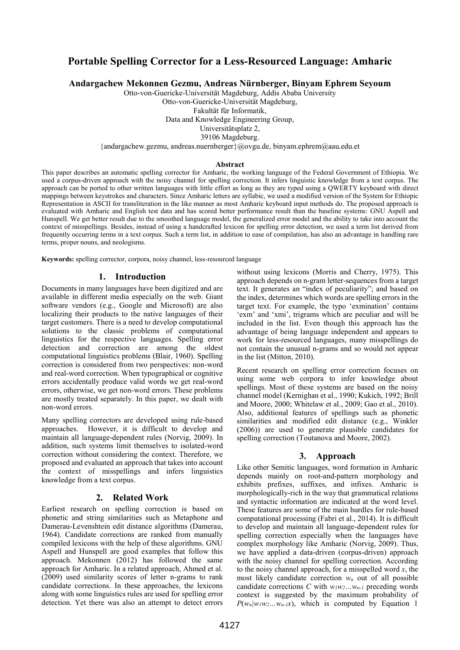# **Portable Spelling Corrector for a Less-Resourced Language: Amharic**

**Andargachew Mekonnen Gezmu, Andreas Nürnberger, Binyam Ephrem Seyoum**

Otto-von-Guericke-Universität Magdeburg, Addis Ababa University Otto-von-Guericke-Universität Magdeburg,

Fakultät für Informatik,

Data and Knowledge Engineering Group,

Universitätsplatz 2,

39106 Magdeburg.

{andargachew.gezmu, andreas.nuernberger}@ovgu.de, binyam.ephrem@aau.edu.et

#### **Abstract**

This paper describes an automatic spelling corrector for Amharic, the working language of the Federal Government of Ethiopia. We used a corpus-driven approach with the noisy channel for spelling correction. It infers linguistic knowledge from a text corpus. The approach can be ported to other written languages with little effort as long as they are typed using a QWERTY keyboard with direct mappings between keystrokes and characters. Since Amharic letters are syllabic, we used a modified version of the System for Ethiopic Representation in ASCII for transliteration in the like manner as most Amharic keyboard input methods do. The proposed approach is evaluated with Amharic and English test data and has scored better performance result than the baseline systems: GNU Aspell and Hunspell. We get better result due to the smoothed language model, the generalized error model and the ability to take into account the context of misspellings. Besides, instead of using a handcrafted lexicon for spelling error detection, we used a term list derived from frequently occurring terms in a text corpus. Such a term list, in addition to ease of compilation, has also an advantage in handling rare terms, proper nouns, and neologisms.

**Keywords:** spelling corrector, corpora, noisy channel, less-resourced language

#### **1. Introduction**

Documents in many languages have been digitized and are available in different media especially on the web. Giant software vendors (e.g., Google and Microsoft) are also localizing their products to the native languages of their target customers. There is a need to develop computational solutions to the classic problems of computational linguistics for the respective languages. Spelling error detection and correction are among the oldest computational linguistics problems (Blair, 1960). Spelling correction is considered from two perspectives: non-word and real-word correction. When typographical or cognitive errors accidentally produce valid words we get real-word errors, otherwise, we get non-word errors. These problems are mostly treated separately. In this paper, we dealt with non-word errors.

Many spelling correctors are developed using rule-based approaches. However, it is difficult to develop and maintain all language-dependent rules (Norvig, 2009). In addition, such systems limit themselves to isolated-word correction without considering the context. Therefore, we proposed and evaluated an approach that takes into account the context of misspellings and infers linguistics knowledge from a text corpus.

#### **2. Related Work**

Earliest research on spelling correction is based on phonetic and string similarities such as Metaphone and Damerau-Levenshtein edit distance algorithms (Damerau, 1964). Candidate corrections are ranked from manually compiled lexicons with the help of these algorithms. GNU Aspell and Hunspell are good examples that follow this approach. Mekonnen  $(2012)$  has followed the same approach for Amharic. In a related approach, Ahmed et al. (2009) used similarity scores of letter n-grams to rank candidate corrections. In these approaches, the lexicons along with some linguistics rules are used for spelling error detection. Yet there was also an attempt to detect errors

without using lexicons (Morris and Cherry, 1975). This approach depends on n-gram letter-sequences from a target text. It generates an "index of peculiarity"; and based on the index, determines which words are spelling errors in the target text. For example, the typo 'exmination' contains 'exm' and 'xmi', trigrams which are peculiar and will be included in the list. Even though this approach has the advantage of being language independent and appears to work for less-resourced languages, many misspellings do not contain the unusual n-grams and so would not appear in the list (Mitton, 2010).

Recent research on spelling error correction focuses on using some web corpora to infer knowledge about spellings. Most of these systems are based on the noisy channel model (Kernighan et al., 1990; Kukich, 1992; Brill and Moore, 2000; Whitelaw et al., 2009; Gao et al., 2010). Also, additional features of spellings such as phonetic similarities and modified edit distance (e.g., Winkler (2006)) are used to generate plausible candidates for spelling correction (Toutanova and Moore, 2002).

#### **3. Approach**

Like other Semitic languages, word formation in Amharic depends mainly on root-and-pattern morphology and exhibits prefixes, suffixes, and infixes. Amharic is morphologically-rich in the way that grammatical relations and syntactic information are indicated at the word level. These features are some of the main hurdles for rule-based computational processing (Fabri et al., 2014). It is difficult to develop and maintain all language-dependent rules for spelling correction especially when the languages have complex morphology like Amharic (Norvig, 2009). Thus, we have applied a data-driven (corpus-driven) approach with the noisy channel for spelling correction. According to the noisy channel approach, for a misspelled word *x*, the most likely candidate correction *w<sup>n</sup>* out of all possible candidate corrections *C* with  $w_lw_2...w_{n-l}$  preceding words context is suggested by the maximum probability of  $P(w_n|w_lw_2...w_{n-1}x)$ , which is computed by Equation 1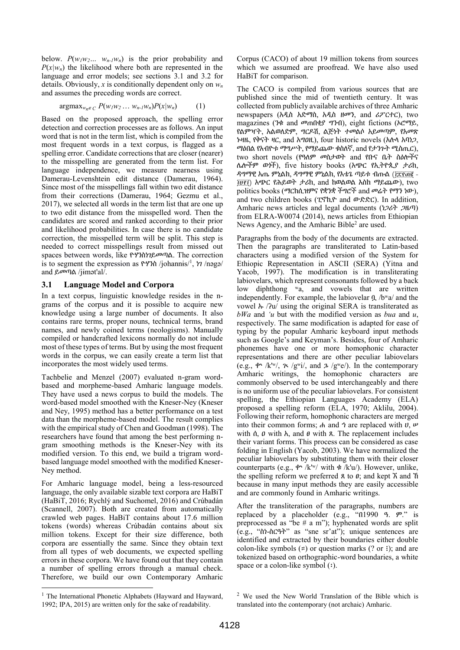below.  $P(w_1w_2... w_{n-1}w_n)$  is the prior probability and  $P(x|w_n)$  the likelihood where both are represented in the language and error models; see sections 3.1 and 3.2 for details. Obviously, *x* is conditionally dependent only on *w<sup>n</sup>* and assumes the preceding words are correct.

$$
\operatorname{argmax}_{w_n \in C} P(w_l w_2 \dots w_{n-l} w_n) P(x|w_n) \tag{1}
$$

Based on the proposed approach, the spelling error detection and correction processes are as follows. An input word that is not in the term list, which is compiled from the most frequent words in a text corpus, is flagged as a spelling error. Candidate corrections that are closer (nearer) to the misspelling are generated from the term list. For language independence, we measure nearness using Damerau-Levenshtein edit distance (Damerau, 1964). Since most of the misspellings fall within two edit distance from their corrections (Damerau, 1964; Gezmu et al., 2017), we selected all words in the term list that are one up to two edit distance from the misspelled word. Then the candidates are scored and ranked according to their prior and likelihood probabilities. In case there is no candidate correction, the misspelled term will be split. This step is needed to correct misspellings result from missed out spaces between words, like ዮሃንስነገይመጣል. The correction is to segment the expression as  $\mathbf{f}' \mathbf{f}'$ ? (johannis<sup> $\mathbf{f}'$ </sup>,  $\mathbf{f}'$ ? /nəgə/ and ይመጣል /jɨmət'al/.

# **3.1 Language Model and Corpora**

In a text corpus, linguistic knowledge resides in the ngrams of the corpus and it is possible to acquire new knowledge using a large number of documents. It also contains rare terms, proper nouns, technical terms, brand names, and newly coined terms (neologisms). Manually compiled or handcrafted lexicons normally do not include most of these types of terms. But by using the most frequent words in the corpus, we can easily create a term list that incorporates the most widely used terms.

Tachbelie and Menzel (2007) evaluated n-gram wordbased and morpheme-based Amharic language models. They have used a news corpus to build the models. The word-based model smoothed with the Kneser-Ney (Kneser and Ney, 1995) method has a better performance on a test data than the morpheme-based model. The result complies with the empirical study of Chen and Goodman (1998). The researchers have found that among the best performing ngram smoothing methods is the Kneser-Ney with its modified version. To this end, we build a trigram wordbased language model smoothed with the modified Kneser-Ney method.

For Amharic language model, being a less-resourced language, the only available sizable text corpora are HaBiT (HaBiT, 2016; Rychlý and Suchomel, 2016) and Crúbadán (Scannell, 2007). Both are created from automatically crawled web pages. HaBiT contains about 17.6 million tokens (words) whereas Crúbadán contains about six million tokens. Except for their size difference, both corpora are essentially the same. Since they obtain text from all types of web documents, we expected spelling errors in these corpora. We have found out that they contain a number of spelling errors through a manual check. Therefore, we build our own Contemporary Amharic

Corpus (CACO) of about 19 million tokens from sources which we assumed are proofread. We have also used HaBiT for comparison.

The CACO is compiled from various sources that are published since the mid of twentieth century. It was collected from publicly available archives of three Amharic newspapers (አዲስ አድማስ, አዲስ ዘመን, and ሪፖርተር), two magazines (ንቁ and መጠበቂያ ግንብ), eight fictions (ኦሮማይ, የልምዣት, አልወለድም, ግርዶሽ, ልጅነት ተመልሶ አይመጣም, የአመጽ ኑዛዜ, የቅናት ዛር, and አግዐዚ), four historic novels (አሉላ አባነጋ, ማዕበል የአብዮቱ ማግሥት, የማይጨው ቁስለኛ, and የታንጉት ሚስጢር), two short novels (የዓለም መስታወት and የቡና ቤት ስዕሎችና ሌሎችም ወጎች), five history books (አጭር የኢትዮጲያ ታሪክ, ዳግማዊ አጤ ምኒልክ, ዳግማዊ ምኒልክ, የእቴጌ ጣይቱ ብጡል (፲፰፻፴፪ - ፲፱፻፲) አጭር የሕይወት ታሪክ, and ከወልወል እስከ ማይጨው), two politics books (ማርክሲዝምና የቋንቋ ችግሮች and መሬት የማን ነው), and two children books (ፒኖኪዮ and ውድድር). In addition, Amharic news articles and legal documents (ነጋሪት ጋዜጣ) from ELRA-W0074 (2014), news articles from Ethiopian News Agency, and the Amharic Bible<sup>2</sup> are used.

Paragraphs from the body of the documents are extracted. Then the paragraphs are transliterated to Latin-based characters using a modified version of the System for Ethiopic Representation in ASCII (SERA) (Yitna and Yacob, 1997). The modification is in transliterating labiovelars, which represent consonants followed by a back low diphthong <sup>w</sup>a, and vowels that are written independently. For example, the labiovelar ቧ /bʷa/ and the vowel ኡ /ʔu/ using the original SERA is transliterated as *bWa* and *'u* but with the modified version as *bua* and *u*, respectively. The same modification is adapted for ease of typing by the popular Amharic keyboard input methods such as Google's and Keyman's. Besides, four of Amharic phonemes have one or more homophonic character representations and there are other peculiar labiovelars (e.g.,  $\phi^*$  /k<sup>tw</sup>/,  $\chi$  /g<sup>w</sup>i/, and  $\chi$  /g<sup>w</sup>e/). In the contemporary Amharic writings, the homophonic characters are commonly observed to be used interchangeably and there is no uniform use of the peculiar labiovelars. For consistent spelling, the Ethiopian Languages Academy (ELA) proposed a spelling reform (ELA, 1970; Aklilu, 2004). Following their reform, homophonic characters are merged into their common forms;  $\phi$  and  $\dot{\phi}$  are replaced with  $\dot{\theta}$ ,  $\dot{\psi}$ with  $\hat{\theta}$ ,  $\theta$  with  $\hat{\theta}$ , and  $\theta$  with  $\hat{\theta}$ . The replacement includes their variant forms. This process can be considered as case folding in English (Yacob, 2003). We have normalized the peculiar labiovelars by substituting them with their closer counterparts (e.g.,  $\phi$ <sup>*,*</sup> /k<sup>tw</sup>/ with  $\phi$  /k<sup>t</sup>u/). However, unlike, the spelling reform we preferred  $\alpha$  to  $\theta$ ; and kept  $\bar{\alpha}$  and  $\bar{\eta}$ because in many input methods they are easily accessible and are commonly found in Amharic writings.

After the transliteration of the paragraphs, numbers are replaced by a placeholder (e.g., "በ1990 ዓ. ም." is preprocessed as "be # a m"); hyphenated words are split (e.g., "ስነ-ስርዓት" as "sne sr'at"); unique sentences are identified and extracted by their boundaries either double colon-like symbols  $(\cdot)$  or question marks  $(? \text{ or } \cdot)$ ; and are tokenized based on orthographic-word boundaries, a white space or a colon-like symbol  $(:).$ 

l

<sup>&</sup>lt;sup>1</sup> The International Phonetic Alphabets (Hayward and Hayward, 1992; IPA, 2015) are written only for the sake of readability.

<sup>2</sup> We used the New World Translation of the Bible which is translated into the contemporary (not archaic) Amharic.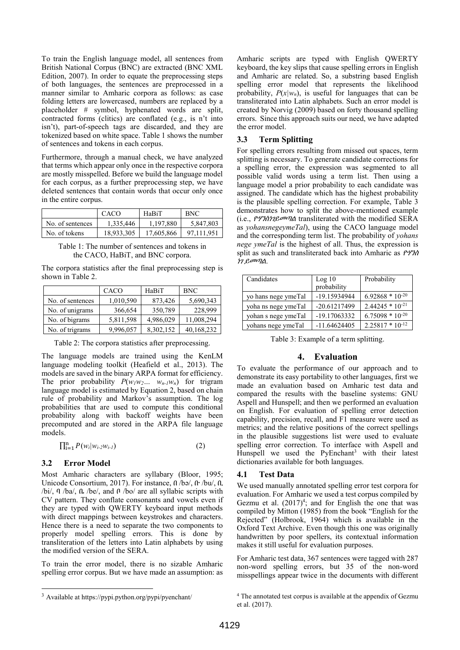To train the English language model, all sentences from British National Corpus (BNC) are extracted (BNC XML Edition, 2007). In order to equate the preprocessing steps of both languages, the sentences are preprocessed in a manner similar to Amharic corpora as follows: as case folding letters are lowercased, numbers are replaced by a placeholder # symbol, hyphenated words are split, contracted forms (clitics) are conflated (e.g., is n't into isn't), part-of-speech tags are discarded, and they are tokenized based on white space. Table 1 shows the number of sentences and tokens in each corpus.

Furthermore, through a manual check, we have analyzed that terms which appear only once in the respective corpora are mostly misspelled. Before we build the language model for each corpus, as a further preprocessing step, we have deleted sentences that contain words that occur only once in the entire corpus.

|                  | CACO       | HaBiT      | <b>BNC</b> |
|------------------|------------|------------|------------|
| No. of sentences | 1.335.446  | 1.197.880  | 5,847,803  |
| No. of tokens    | 18.933.305 | 17,605,866 | 97.111.951 |

Table 1: The number of sentences and tokens in the CACO, HaBiT, and BNC corpora.

The corpora statistics after the final preprocessing step is shown in Table 2.

|                  | CACO      | HaBiT     | <b>BNC</b> |
|------------------|-----------|-----------|------------|
| No. of sentences | 1,010,590 | 873,426   | 5,690,343  |
| No. of unigrams  | 366,654   | 350,789   | 228,999    |
| No. of bigrams   | 5,811,598 | 4,986,029 | 11,008,294 |
| No. of trigrams  | 9,996,057 | 8,302,152 | 40,168,232 |

Table 2: The corpora statistics after preprocessing.

The language models are trained using the KenLM language modeling toolkit (Heafield et al., 2013). The models are saved in the binary ARPA format for efficiency. The prior probability  $P(w_1w_2... w_{n-1}w_n)$  for trigram language model is estimated by Equation 2, based on chain rule of probability and Markov's assumption. The log probabilities that are used to compute this conditional probability along with backoff weights have been precomputed and are stored in the ARPA file language models.

$$
\prod_{i=1}^{n} P(w_i|w_{i-2}w_{i-1})
$$
 (2)

# **3.2 Error Model**

l

Most Amharic characters are syllabary (Bloor, 1995; Unicode Consortium, 2017). For instance, በ /bə/, ቡ /bu/, ቢ /bi/, ባ /ba/, ቤ /be/, and ቦ /bo/ are all syllabic scripts with CV pattern. They conflate consonants and vowels even if they are typed with QWERTY keyboard input methods with direct mappings between keystrokes and characters. Hence there is a need to separate the two components to properly model spelling errors. This is done by transliteration of the letters into Latin alphabets by using the modified version of the SERA.

To train the error model, there is no sizable Amharic spelling error corpus. But we have made an assumption: as

Amharic scripts are typed with English QWERTY keyboard, the key slips that cause spelling errors in English and Amharic are related. So, a substring based English spelling error model that represents the likelihood probability,  $P(x|w_n)$ , is useful for languages that can be transliterated into Latin alphabets. Such an error model is created by Norvig (2009) based on forty thousand spelling errors. Since this approach suits our need, we have adapted the error model.

# **3.3 Term Splitting**

For spelling errors resulting from missed out spaces, term splitting is necessary. To generate candidate corrections for a spelling error, the expression was segmented to all possible valid words using a term list. Then using a language model a prior probability to each candidate was assigned. The candidate which has the highest probability is the plausible spelling correction. For example, Table 3 demonstrates how to split the above-mentioned example (i.e., ዮሃንስነገይመጣል transliterated with the modified SERA as *yohansnegeymeTal*), using the CACO language model and the corresponding term list. The probability of *yohans nege ymeTal* is the highest of all. Thus, the expression is split as such and transliterated back into Amharic as ዮሃንስ ነገ ይመጣል.

| Candidates          | Log 10<br>probability | Probability          |
|---------------------|-----------------------|----------------------|
| yo hans nege ymeTal | -19.15934944          | $6.92868 * 10^{-20}$ |
| yoha ns nege ymeTal | -20.61217499          | $2.44245 * 10^{-21}$ |
| yohan s nege ymeTal | -19.17063332          | $6.75098 * 10^{-20}$ |
| yohans nege ymeTal  | $-11.64624405$        | $2.25817 * 10^{-12}$ |

Table 3: Example of a term splitting.

# **4. Evaluation**

To evaluate the performance of our approach and to demonstrate its easy portability to other languages, first we made an evaluation based on Amharic test data and compared the results with the baseline systems: GNU Aspell and Hunspell; and then we performed an evaluation on English. For evaluation of spelling error detection capability, precision, recall, and F1 measure were used as metrics; and the relative positions of the correct spellings in the plausible suggestions list were used to evaluate spelling error correction. To interface with Aspell and Hunspell we used the PyEnchant<sup>3</sup> with their latest dictionaries available for both languages.

# **4.1 Test Data**

We used manually annotated spelling error test corpora for evaluation. For Amharic we used a test corpus compiled by Gezmu et al.  $(2017)^4$ ; and for English the one that was compiled by Mitton (1985) from the book "English for the Rejected" (Holbrook, 1964) which is available in the Oxford Text Archive. Even though this one was originally handwritten by poor spellers, its contextual information makes it still useful for evaluation purposes.

For Amharic test data, 367 sentences were tagged with 287 non-word spelling errors, but 35 of the non-word misspellings appear twice in the documents with different

 $^3$  Available at https://pypi.python.org/pypi/pyenchant/  $\,$ 

<sup>4</sup> The annotated test corpus is available at the appendix of Gezmu et al. (2017).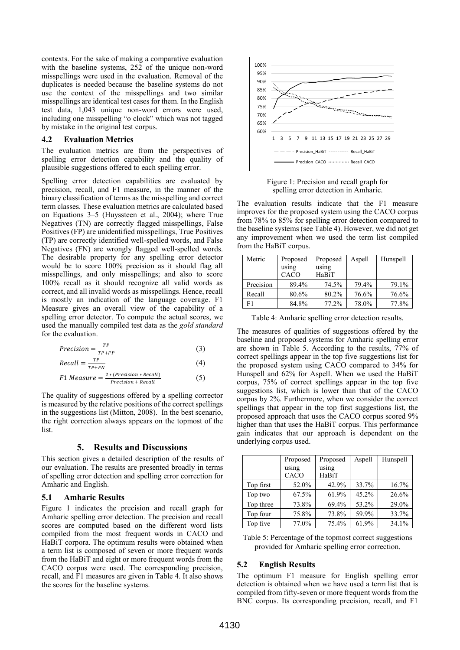contexts. For the sake of making a comparative evaluation with the baseline systems, 252 of the unique non-word misspellings were used in the evaluation. Removal of the duplicates is needed because the baseline systems do not use the context of the misspellings and two similar misspellings are identical test cases for them. In the English test data, 1,043 unique non-word errors were used, including one misspelling "o clock" which was not tagged by mistake in the original test corpus.

### **4.2 Evaluation Metrics**

The evaluation metrics are from the perspectives of spelling error detection capability and the quality of plausible suggestions offered to each spelling error.

Spelling error detection capabilities are evaluated by precision, recall, and F1 measure, in the manner of the binary classification of terms as the misspelling and correct term classes. These evaluation metrics are calculated based on Equations 3–5 (Huyssteen et al., 2004); where True Negatives (TN) are correctly flagged misspellings, False Positives (FP) are unidentified misspellings, True Positives (TP) are correctly identified well-spelled words, and False Negatives (FN) are wrongly flagged well-spelled words. The desirable property for any spelling error detector would be to score 100% precision as it should flag all misspellings, and only misspellings; and also to score 100% recall as it should recognize all valid words as correct, and all invalid words as misspellings. Hence, recall is mostly an indication of the language coverage. F1 Measure gives an overall view of the capability of a spelling error detector. To compute the actual scores, we used the manually compiled test data as the *gold standard* for the evaluation.

$$
Precision = \frac{TP}{TP + FP}
$$
 (3)

$$
Recall = \frac{TP}{TP + FN} \tag{4}
$$

$$
F1 \; Measure = \frac{2 * (Precision * Recall)}{Precision + Recall} \tag{5}
$$

The quality of suggestions offered by a spelling corrector is measured by the relative positions of the correct spellings in the suggestions list (Mitton, 2008). In the best scenario, the right correction always appears on the topmost of the list.

### **5. Results and Discussions**

This section gives a detailed description of the results of our evaluation. The results are presented broadly in terms of spelling error detection and spelling error correction for Amharic and English.

#### **5.1 Amharic Results**

Figure 1 indicates the precision and recall graph for Amharic spelling error detection. The precision and recall scores are computed based on the different word lists compiled from the most frequent words in CACO and HaBiT corpora. The optimum results were obtained when a term list is composed of seven or more frequent words from the HaBiT and eight or more frequent words from the CACO corpus were used. The corresponding precision, recall, and F1 measures are given in Table 4. It also shows the scores for the baseline systems.



Figure 1: Precision and recall graph for spelling error detection in Amharic.

The evaluation results indicate that the F1 measure improves for the proposed system using the CACO corpus from 78% to 85% for spelling error detection compared to the baseline systems (see Table 4). However, we did not get any improvement when we used the term list compiled from the HaBiT corpus.

| Metric    | Proposed      | Proposed       | Aspell | Hunspell |
|-----------|---------------|----------------|--------|----------|
|           | using<br>CACO | using<br>HaBiT |        |          |
| Precision | 89.4%         | 74.5%          | 79.4%  | 79.1%    |
| Recall    | 80.6%         | 80.2%          | 76.6%  | 76.6%    |
| F1        | 84.8%         | 77.2%          | 78.0%  | 77.8%    |

Table 4: Amharic spelling error detection results.

The measures of qualities of suggestions offered by the baseline and proposed systems for Amharic spelling error are shown in Table 5. According to the results, 77% of correct spellings appear in the top five suggestions list for the proposed system using CACO compared to 34% for Hunspell and 62% for Aspell. When we used the HaBiT corpus, 75% of correct spellings appear in the top five suggestions list, which is lower than that of the CACO corpus by 2%. Furthermore, when we consider the correct spellings that appear in the top first suggestions list, the proposed approach that uses the CACO corpus scored 9% higher than that uses the HaBiT corpus. This performance gain indicates that our approach is dependent on the underlying corpus used.

|           | Proposed | Proposed | Aspell | Hunspell |
|-----------|----------|----------|--------|----------|
|           | using    | using    |        |          |
|           | CACO     | HaBiT    |        |          |
| Top first | 52.0%    | 42.9%    | 33.7%  | 16.7%    |
| Top two   | 67.5%    | 61.9%    | 45.2%  | 26.6%    |
| Top three | 73.8%    | 69.4%    | 53.2%  | 29.0%    |
| Top four  | 75.8%    | 73.8%    | 59.9%  | 33.7%    |
| Top five  | 77.0%    | 75.4%    | 61.9%  | 34.1%    |

Table 5: Percentage of the topmost correct suggestions provided for Amharic spelling error correction.

### **5.2 English Results**

The optimum F1 measure for English spelling error detection is obtained when we have used a term list that is compiled from fifty-seven or more frequent words from the BNC corpus. Its corresponding precision, recall, and F1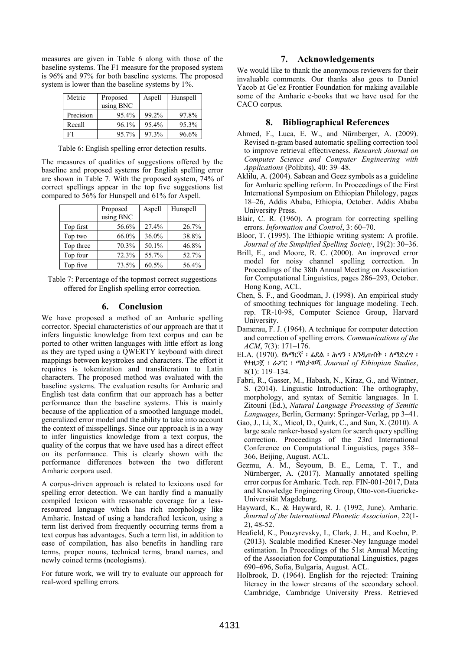measures are given in Table 6 along with those of the baseline systems. The F1 measure for the proposed system is 96% and 97% for both baseline systems. The proposed system is lower than the baseline systems by 1%.

| Metric    | Proposed  | Aspell | Hunspell |
|-----------|-----------|--------|----------|
|           | using BNC |        |          |
| Precision | 95.4%     | 99.2%  | 97.8%    |
| Recall    | 96.1%     | 95.4%  | 95.3%    |
| F1        | 95.7%     | 97.3%  | 96.6%    |

Table 6: English spelling error detection results.

The measures of qualities of suggestions offered by the baseline and proposed systems for English spelling error are shown in Table 7. With the proposed system, 74% of correct spellings appear in the top five suggestions list compared to 56% for Hunspell and 61% for Aspell.

|           | Proposed  | Aspell | Hunspell |
|-----------|-----------|--------|----------|
|           | using BNC |        |          |
| Top first | 56.6%     | 27.4%  | 26.7%    |
| Top two   | 66.0%     | 36.0%  | 38.8%    |
| Top three | 70.3%     | 50.1%  | 46.8%    |
| Top four  | 72.3%     | 55.7%  | 52.7%    |
| Top five  | 73.5%     | 60.5%  | 56.4%    |

Table 7: Percentage of the topmost correct suggestions offered for English spelling error correction.

### **6. Conclusion**

We have proposed a method of an Amharic spelling corrector. Special characteristics of our approach are that it infers linguistic knowledge from text corpus and can be ported to other written languages with little effort as long as they are typed using a QWERTY keyboard with direct mappings between keystrokes and characters. The effort it requires is tokenization and transliteration to Latin characters. The proposed method was evaluated with the baseline systems. The evaluation results for Amharic and English test data confirm that our approach has a better performance than the baseline systems. This is mainly because of the application of a smoothed language model, generalized error model and the ability to take into account the context of misspellings. Since our approach is in a way to infer linguistics knowledge from a text corpus, the quality of the corpus that we have used has a direct effect on its performance. This is clearly shown with the performance differences between the two different Amharic corpora used.

A corpus-driven approach is related to lexicons used for spelling error detection. We can hardly find a manually compiled lexicon with reasonable coverage for a lessresourced language which has rich morphology like Amharic. Instead of using a handcrafted lexicon, using a term list derived from frequently occurring terms from a text corpus has advantages. Such a term list, in addition to ease of compilation, has also benefits in handling rare terms, proper nouns, technical terms, brand names, and newly coined terms (neologisms).

For future work, we will try to evaluate our approach for real-word spelling errors.

### **7. Acknowledgements**

We would like to thank the anonymous reviewers for their invaluable comments. Our thanks also goes to Daniel Yacob at Ge'ez Frontier Foundation for making available some of the Amharic e-books that we have used for the CACO corpus.

### **8. Bibliographical References**

- Ahmed, F., Luca, E. W., and Nürnberger, A. (2009). Revised n-gram based automatic spelling correction tool to improve retrieval effectiveness. *Research Journal on Computer Science and Computer Engineering with Applications* (Polibits), 40: 39–48.
- Aklilu, A. (2004). Sabean and Geez symbols as a guideline for Amharic spelling reform. In Proceedings of the First International Symposium on Ethiopian Philology, pages 18–26, Addis Ababa, Ethiopia, October. Addis Ababa University Press.
- Blair, C. R. (1960). A program for correcting spelling errors. *Information and Control*, 3: 60–70.
- Bloor, T. (1995). The Ethiopic writing system: A profile. *Journal of the Simplified Spelling Society*, 19(2): 30–36.
- Brill, E., and Moore, R. C. (2000). An improved error model for noisy channel spelling correction. In Proceedings of the 38th Annual Meeting on Association for Computational Linguistics, pages 286–293, October. Hong Kong, ACL.
- Chen, S. F., and Goodman, J. (1998). An empirical study of smoothing techniques for language modeling. Tech. rep. TR-10-98, Computer Science Group, Harvard University.
- Damerau, F. J. (1964). A technique for computer detection and correction of spelling errors. *Communications of the ACM*, 7(3): 171–176.
- ELA. (1970). የአማርኛ ፡ ፊደል ፡ ሕግን ፡ አንዲጠብቅ ፡ ለማድረግ ፡ የተዘጋጀ ፡ ራፖር ፡ ማስታወሻ, *Journal of Ethiopian Studies*, 8(1): 119–134.
- Fabri, R., Gasser, M., Habash, N., Kiraz, G., and Wintner, S. (2014). Linguistic Introduction: The orthography, morphology, and syntax of Semitic languages. In I. Zitouni (Ed.), *Natural Language Processing of Semitic Languages*, Berlin, Germany: Springer-Verlag, pp 3–41.
- Gao, J., Li, X., Micol, D., Quirk, C., and Sun, X. (2010). A large scale ranker-based system for search query spelling correction. Proceedings of the 23rd International Conference on Computational Linguistics, pages 358– 366, Beijing, August. ACL.
- Gezmu, A. M., Seyoum, B. E., Lema, T. T., and Nürnberger, A. (2017). Manually annotated spelling error corpus for Amharic. Tech. rep. FIN-001-2017, Data and Knowledge Engineering Group, Otto-von-Guericke-Universität Magdeburg.
- Hayward, K., & Hayward, R. J. (1992, June). Amharic. *Journal of the International Phonetic Association*, 22(1- 2), 48-52.
- Heafield, K., Pouzyrevsky, I., Clark, J. H., and Koehn, P. (2013). Scalable modified Kneser-Ney language model estimation. In Proceedings of the 51st Annual Meeting of the Association for Computational Linguistics, pages 690–696, Sofia, Bulgaria, August. ACL.
- Holbrook, D. (1964). English for the rejected: Training literacy in the lower streams of the secondary school. Cambridge, Cambridge University Press. Retrieved